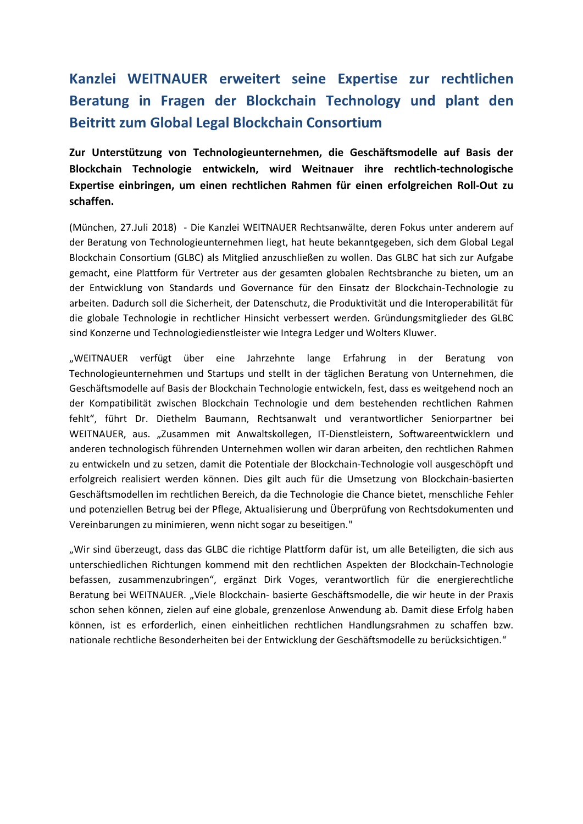## **Kanzlei WEITNAUER erweitert seine Expertise zur rechtlichen Beratung in Fragen der Blockchain Technology und plant den Beitritt zum Global Legal Blockchain Consortium**

**Zur Unterstützung von Technologieunternehmen, die Geschäftsmodelle auf Basis der Blockchain Technologie entwickeln, wird Weitnauer ihre rechtlich-technologische Expertise einbringen, um einen rechtlichen Rahmen für einen erfolgreichen Roll-Out zu schaffen.**

(München, 27.Juli 2018) - Die Kanzlei WEITNAUER Rechtsanwälte, deren Fokus unter anderem auf der Beratung von Technologieunternehmen liegt, hat heute bekanntgegeben, sich dem Global Legal Blockchain Consortium (GLBC) als Mitglied anzuschließen zu wollen. Das GLBC hat sich zur Aufgabe gemacht, eine Plattform für Vertreter aus der gesamten globalen Rechtsbranche zu bieten, um an der Entwicklung von Standards und Governance für den Einsatz der Blockchain-Technologie zu arbeiten. Dadurch soll die Sicherheit, der Datenschutz, die Produktivität und die Interoperabilität für die globale Technologie in rechtlicher Hinsicht verbessert werden. Gründungsmitglieder des GLBC sind Konzerne und Technologiedienstleister wie Integra Ledger und Wolters Kluwer.

"WEITNAUER verfügt über eine Jahrzehnte lange Erfahrung in der Beratung von Technologieunternehmen und Startups und stellt in der täglichen Beratung von Unternehmen, die Geschäftsmodelle auf Basis der Blockchain Technologie entwickeln, fest, dass es weitgehend noch an der Kompatibilität zwischen Blockchain Technologie und dem bestehenden rechtlichen Rahmen fehlt", führt Dr. Diethelm Baumann, Rechtsanwalt und verantwortlicher Seniorpartner bei WEITNAUER, aus. "Zusammen mit Anwaltskollegen, IT-Dienstleistern, Softwareentwicklern und anderen technologisch führenden Unternehmen wollen wir daran arbeiten, den rechtlichen Rahmen zu entwickeln und zu setzen, damit die Potentiale der Blockchain-Technologie voll ausgeschöpft und erfolgreich realisiert werden können. Dies gilt auch für die Umsetzung von Blockchain-basierten Geschäftsmodellen im rechtlichen Bereich, da die Technologie die Chance bietet, menschliche Fehler und potenziellen Betrug bei der Pflege, Aktualisierung und Überprüfung von Rechtsdokumenten und Vereinbarungen zu minimieren, wenn nicht sogar zu beseitigen."

"Wir sind überzeugt, dass das GLBC die richtige Plattform dafür ist, um alle Beteiligten, die sich aus unterschiedlichen Richtungen kommend mit den rechtlichen Aspekten der Blockchain-Technologie befassen, zusammenzubringen", ergänzt Dirk Voges, verantwortlich für die energierechtliche Beratung bei WEITNAUER. "Viele Blockchain- basierte Geschäftsmodelle, die wir heute in der Praxis schon sehen können, zielen auf eine globale, grenzenlose Anwendung ab. Damit diese Erfolg haben können, ist es erforderlich, einen einheitlichen rechtlichen Handlungsrahmen zu schaffen bzw. nationale rechtliche Besonderheiten bei der Entwicklung der Geschäftsmodelle zu berücksichtigen."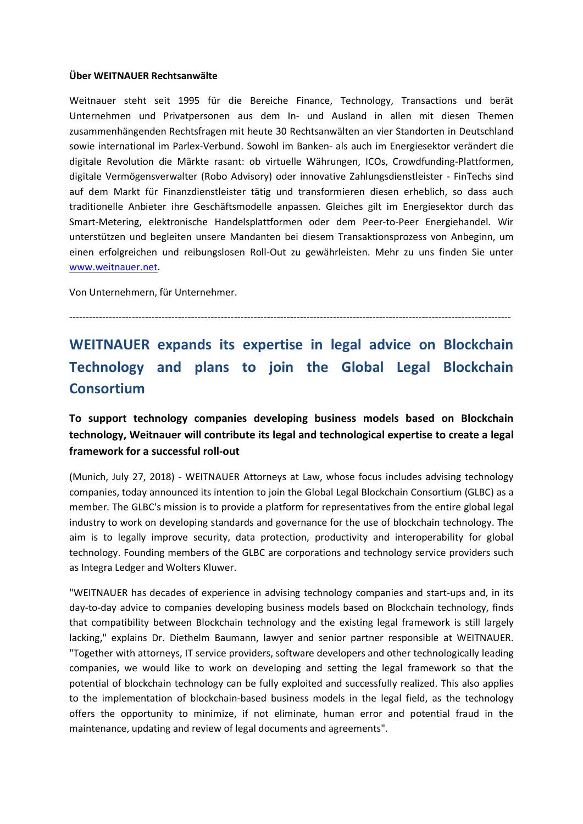### **Über WEITNAUER Rechtsanwälte**

Weitnauer steht seit 1995 für die Bereiche Finance, Technology, Transactions und berät Unternehmen und Privatpersonen aus dem In- und Ausland in allen mit diesen Themen zusammenhängenden Rechtsfragen mit heute 30 Rechtsanwälten an vier Standorten in Deutschland sowie international im Parlex-Verbund. Sowohl im Banken- als auch im Energiesektor verändert die digitale Revolution die Märkte rasant: ob virtuelle Währungen, ICOs, Crowdfunding-Plattformen, digitale Vermögensverwalter (Robo Advisory) oder innovative Zahlungsdienstleister - FinTechs sind auf dem Markt für Finanzdienstleister tätig und transformieren diesen erheblich, so dass auch traditionelle Anbieter ihre Geschäftsmodelle anpassen. Gleiches gilt im Energiesektor durch das Smart-Metering, elektronische Handelsplattformen oder dem Peer-to-Peer Energiehandel. Wir unterstützen und begleiten unsere Mandanten bei diesem Transaktionsprozess von Anbeginn, um einen erfolgreichen und reibungslosen Roll-Out zu gewährleisten. Mehr zu uns finden Sie unter www.weitnauer.net.

Von Unternehmern, für Unternehmer.

# **WEITNAUER expands its expertise in legal advice on Blockchain Technology and plans to join the Global Legal Blockchain Consortium**

--------------------------------------------------------------------------------------------------------------------------------------

### **To support technology companies developing business models based on Blockchain technology, Weitnauer will contribute its legal and technological expertise to create a legal framework for a successful roll-out**

(Munich, July 27, 2018) - WEITNAUER Attorneys at Law, whose focus includes advising technology companies, today announced its intention to join the Global Legal Blockchain Consortium (GLBC) as a member. The GLBC's mission is to provide a platform for representatives from the entire global legal industry to work on developing standards and governance for the use of blockchain technology. The aim is to legally improve security, data protection, productivity and interoperability for global technology. Founding members of the GLBC are corporations and technology service providers such as Integra Ledger and Wolters Kluwer.

"WEITNAUER has decades of experience in advising technology companies and start-ups and, in its day-to-day advice to companies developing business models based on Blockchain technology, finds that compatibility between Blockchain technology and the existing legal framework is still largely lacking," explains Dr. Diethelm Baumann, lawyer and senior partner responsible at WEITNAUER. "Together with attorneys, IT service providers, software developers and other technologically leading companies, we would like to work on developing and setting the legal framework so that the potential of blockchain technology can be fully exploited and successfully realized. This also applies to the implementation of blockchain-based business models in the legal field, as the technology offers the opportunity to minimize, if not eliminate, human error and potential fraud in the maintenance, updating and review of legal documents and agreements".